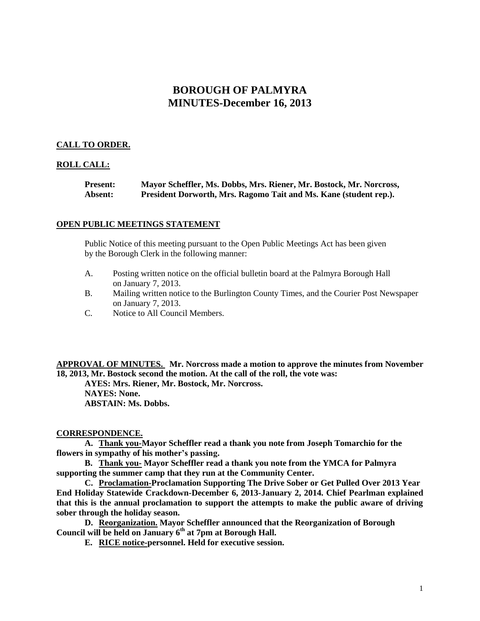# **BOROUGH OF PALMYRA MINUTES-December 16, 2013**

# **CALL TO ORDER.**

## **ROLL CALL:**

**Present: Mayor Scheffler, Ms. Dobbs, Mrs. Riener, Mr. Bostock, Mr. Norcross, Absent: President Dorworth, Mrs. Ragomo Tait and Ms. Kane (student rep.).**

## **OPEN PUBLIC MEETINGS STATEMENT**

Public Notice of this meeting pursuant to the Open Public Meetings Act has been given by the Borough Clerk in the following manner:

- A. Posting written notice on the official bulletin board at the Palmyra Borough Hall on January 7, 2013.
- B. Mailing written notice to the Burlington County Times, and the Courier Post Newspaper on January 7, 2013.
- C. Notice to All Council Members.

**APPROVAL OF MINUTES. Mr. Norcross made a motion to approve the minutes from November 18, 2013, Mr. Bostock second the motion. At the call of the roll, the vote was:**

**AYES: Mrs. Riener, Mr. Bostock, Mr. Norcross.**

**NAYES: None. ABSTAIN: Ms. Dobbs.**

#### **CORRESPONDENCE.**

**A. Thank you-Mayor Scheffler read a thank you note from Joseph Tomarchio for the flowers in sympathy of his mother's passing.**

**B. Thank you- Mayor Scheffler read a thank you note from the YMCA for Palmyra supporting the summer camp that they run at the Community Center.**

**C. Proclamation-Proclamation Supporting The Drive Sober or Get Pulled Over 2013 Year End Holiday Statewide Crackdown-December 6, 2013-January 2, 2014. Chief Pearlman explained that this is the annual proclamation to support the attempts to make the public aware of driving sober through the holiday season.** 

**D. Reorganization. Mayor Scheffler announced that the Reorganization of Borough Council will be held on January 6th at 7pm at Borough Hall.**

**E. RICE notice-personnel. Held for executive session.**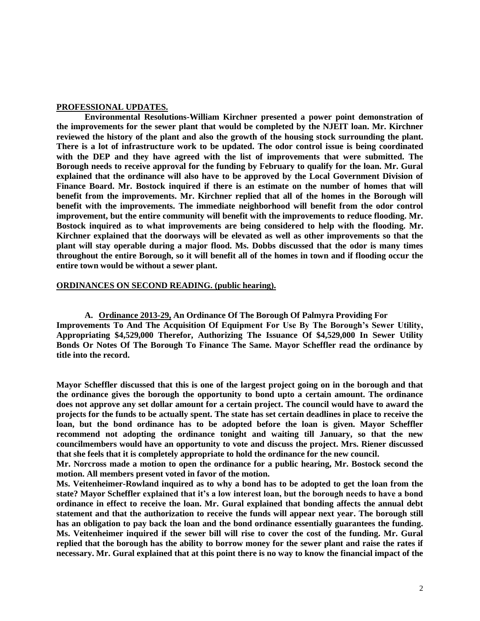#### **PROFESSIONAL UPDATES.**

**Environmental Resolutions-William Kirchner presented a power point demonstration of the improvements for the sewer plant that would be completed by the NJEIT loan. Mr. Kirchner reviewed the history of the plant and also the growth of the housing stock surrounding the plant. There is a lot of infrastructure work to be updated. The odor control issue is being coordinated with the DEP and they have agreed with the list of improvements that were submitted. The Borough needs to receive approval for the funding by February to qualify for the loan. Mr. Gural explained that the ordinance will also have to be approved by the Local Government Division of Finance Board. Mr. Bostock inquired if there is an estimate on the number of homes that will benefit from the improvements. Mr. Kirchner replied that all of the homes in the Borough will benefit with the improvements. The immediate neighborhood will benefit from the odor control improvement, but the entire community will benefit with the improvements to reduce flooding. Mr. Bostock inquired as to what improvements are being considered to help with the flooding. Mr. Kirchner explained that the doorways will be elevated as well as other improvements so that the plant will stay operable during a major flood. Ms. Dobbs discussed that the odor is many times throughout the entire Borough, so it will benefit all of the homes in town and if flooding occur the entire town would be without a sewer plant.** 

#### **ORDINANCES ON SECOND READING. (public hearing).**

**A. Ordinance 2013-29, An Ordinance Of The Borough Of Palmyra Providing For Improvements To And The Acquisition Of Equipment For Use By The Borough's Sewer Utility, Appropriating \$4,529,000 Therefor, Authorizing The Issuance Of \$4,529,000 In Sewer Utility Bonds Or Notes Of The Borough To Finance The Same. Mayor Scheffler read the ordinance by title into the record.** 

**Mayor Scheffler discussed that this is one of the largest project going on in the borough and that the ordinance gives the borough the opportunity to bond upto a certain amount. The ordinance does not approve any set dollar amount for a certain project. The council would have to award the projects for the funds to be actually spent. The state has set certain deadlines in place to receive the loan, but the bond ordinance has to be adopted before the loan is given. Mayor Scheffler recommend not adopting the ordinance tonight and waiting till January, so that the new councilmembers would have an opportunity to vote and discuss the project. Mrs. Riener discussed that she feels that it is completely appropriate to hold the ordinance for the new council.** 

**Mr. Norcross made a motion to open the ordinance for a public hearing, Mr. Bostock second the motion. All members present voted in favor of the motion.**

**Ms. Veitenheimer-Rowland inquired as to why a bond has to be adopted to get the loan from the state? Mayor Scheffler explained that it's a low interest loan, but the borough needs to have a bond ordinance in effect to receive the loan. Mr. Gural explained that bonding affects the annual debt statement and that the authorization to receive the funds will appear next year. The borough still has an obligation to pay back the loan and the bond ordinance essentially guarantees the funding. Ms. Veitenheimer inquired if the sewer bill will rise to cover the cost of the funding. Mr. Gural replied that the borough has the ability to borrow money for the sewer plant and raise the rates if necessary. Mr. Gural explained that at this point there is no way to know the financial impact of the**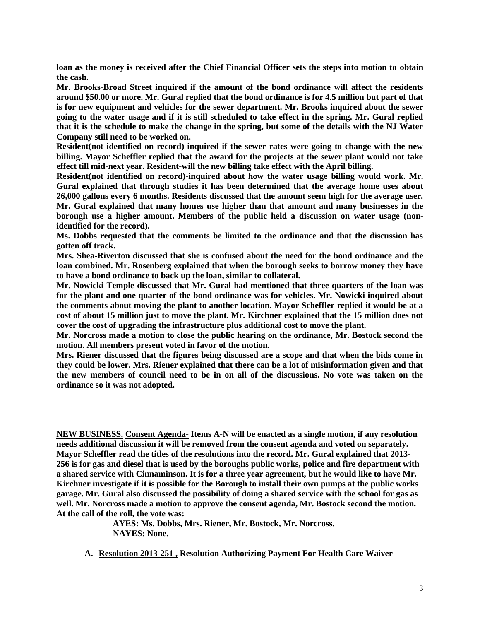**loan as the money is received after the Chief Financial Officer sets the steps into motion to obtain the cash.** 

**Mr. Brooks-Broad Street inquired if the amount of the bond ordinance will affect the residents around \$50.00 or more. Mr. Gural replied that the bond ordinance is for 4.5 million but part of that is for new equipment and vehicles for the sewer department. Mr. Brooks inquired about the sewer going to the water usage and if it is still scheduled to take effect in the spring. Mr. Gural replied that it is the schedule to make the change in the spring, but some of the details with the NJ Water Company still need to be worked on.** 

**Resident(not identified on record)-inquired if the sewer rates were going to change with the new billing. Mayor Scheffler replied that the award for the projects at the sewer plant would not take effect till mid-next year. Resident-will the new billing take effect with the April billing.** 

**Resident(not identified on record)-inquired about how the water usage billing would work. Mr. Gural explained that through studies it has been determined that the average home uses about 26,000 gallons every 6 months. Residents discussed that the amount seem high for the average user. Mr. Gural explained that many homes use higher than that amount and many businesses in the borough use a higher amount. Members of the public held a discussion on water usage (nonidentified for the record).** 

**Ms. Dobbs requested that the comments be limited to the ordinance and that the discussion has gotten off track.** 

**Mrs. Shea-Riverton discussed that she is confused about the need for the bond ordinance and the loan combined. Mr. Rosenberg explained that when the borough seeks to borrow money they have to have a bond ordinance to back up the loan, similar to collateral.**

**Mr. Nowicki-Temple discussed that Mr. Gural had mentioned that three quarters of the loan was for the plant and one quarter of the bond ordinance was for vehicles. Mr. Nowicki inquired about the comments about moving the plant to another location. Mayor Scheffler replied it would be at a cost of about 15 million just to move the plant. Mr. Kirchner explained that the 15 million does not cover the cost of upgrading the infrastructure plus additional cost to move the plant.** 

**Mr. Norcross made a motion to close the public hearing on the ordinance, Mr. Bostock second the motion. All members present voted in favor of the motion.** 

**Mrs. Riener discussed that the figures being discussed are a scope and that when the bids come in they could be lower. Mrs. Riener explained that there can be a lot of misinformation given and that the new members of council need to be in on all of the discussions. No vote was taken on the ordinance so it was not adopted.** 

**NEW BUSINESS. Consent Agenda- Items A-N will be enacted as a single motion, if any resolution needs additional discussion it will be removed from the consent agenda and voted on separately. Mayor Scheffler read the titles of the resolutions into the record. Mr. Gural explained that 2013- 256 is for gas and diesel that is used by the boroughs public works, police and fire department with a shared service with Cinnaminson. It is for a three year agreement, but he would like to have Mr. Kirchner investigate if it is possible for the Borough to install their own pumps at the public works garage. Mr. Gural also discussed the possibility of doing a shared service with the school for gas as well. Mr. Norcross made a motion to approve the consent agenda, Mr. Bostock second the motion. At the call of the roll, the vote was:**

> **AYES: Ms. Dobbs, Mrs. Riener, Mr. Bostock, Mr. Norcross. NAYES: None.**

**A. Resolution 2013-251 , Resolution Authorizing Payment For Health Care Waiver**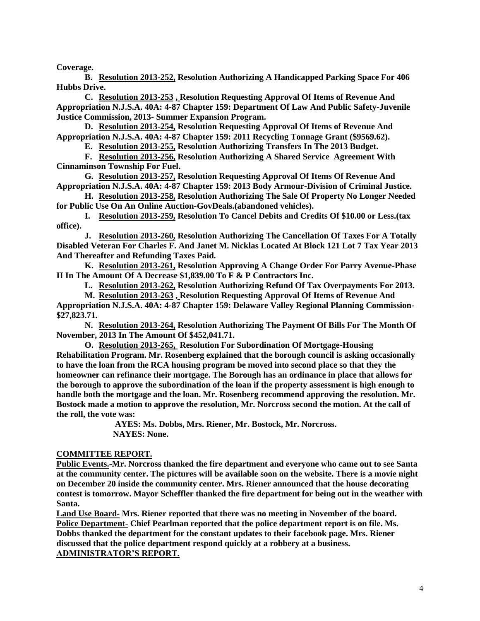**Coverage.**

**B. Resolution 2013-252, Resolution Authorizing A Handicapped Parking Space For 406 Hubbs Drive.**

**C. Resolution 2013-253 , Resolution Requesting Approval Of Items of Revenue And Appropriation N.J.S.A. 40A: 4-87 Chapter 159: Department Of Law And Public Safety-Juvenile Justice Commission, 2013- Summer Expansion Program.** 

**D. Resolution 2013-254, Resolution Requesting Approval Of Items of Revenue And Appropriation N.J.S.A. 40A: 4-87 Chapter 159: 2011 Recycling Tonnage Grant (\$9569.62).**

**E. Resolution 2013-255, Resolution Authorizing Transfers In The 2013 Budget.** 

**F. Resolution 2013-256, Resolution Authorizing A Shared Service Agreement With Cinnaminson Township For Fuel.** 

**G. Resolution 2013-257, Resolution Requesting Approval Of Items Of Revenue And Appropriation N.J.S.A. 40A: 4-87 Chapter 159: 2013 Body Armour-Division of Criminal Justice.** 

**H. Resolution 2013-258, Resolution Authorizing The Sale Of Property No Longer Needed for Public Use On An Online Auction-GovDeals.(abandoned vehicles).**

**I. Resolution 2013-259, Resolution To Cancel Debits and Credits Of \$10.00 or Less.(tax office).**

**J. Resolution 2013-260, Resolution Authorizing The Cancellation Of Taxes For A Totally Disabled Veteran For Charles F. And Janet M. Nicklas Located At Block 121 Lot 7 Tax Year 2013 And Thereafter and Refunding Taxes Paid.** 

**K. Resolution 2013-261, Resolution Approving A Change Order For Parry Avenue-Phase II In The Amount Of A Decrease \$1,839.00 To F & P Contractors Inc.** 

**L. Resolution 2013-262, Resolution Authorizing Refund Of Tax Overpayments For 2013.**

**M. Resolution 2013-263 , Resolution Requesting Approval Of Items of Revenue And**

**Appropriation N.J.S.A. 40A: 4-87 Chapter 159: Delaware Valley Regional Planning Commission- \$27,823.71.**

**N. Resolution 2013-264, Resolution Authorizing The Payment Of Bills For The Month Of November, 2013 In The Amount Of \$452,041.71.**

**O. Resolution 2013-265, Resolution For Subordination Of Mortgage-Housing Rehabilitation Program. Mr. Rosenberg explained that the borough council is asking occasionally to have the loan from the RCA housing program be moved into second place so that they the homeowner can refinance their mortgage. The Borough has an ordinance in place that allows for the borough to approve the subordination of the loan if the property assessment is high enough to handle both the mortgage and the loan. Mr. Rosenberg recommend approving the resolution. Mr. Bostock made a motion to approve the resolution, Mr. Norcross second the motion. At the call of the roll, the vote was:**

**AYES: Ms. Dobbs, Mrs. Riener, Mr. Bostock, Mr. Norcross. NAYES: None.** 

## **COMMITTEE REPORT.**

**Public Events.-Mr. Norcross thanked the fire department and everyone who came out to see Santa at the community center. The pictures will be available soon on the website. There is a movie night on December 20 inside the community center. Mrs. Riener announced that the house decorating contest is tomorrow. Mayor Scheffler thanked the fire department for being out in the weather with Santa.**

**Land Use Board- Mrs. Riener reported that there was no meeting in November of the board. Police Department- Chief Pearlman reported that the police department report is on file. Ms. Dobbs thanked the department for the constant updates to their facebook page. Mrs. Riener discussed that the police department respond quickly at a robbery at a business. ADMINISTRATOR'S REPORT.**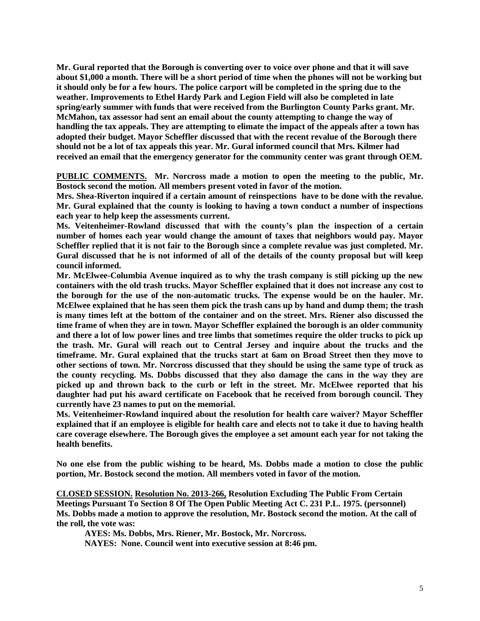**Mr. Gural reported that the Borough is converting over to voice over phone and that it will save about \$1,000 a month. There will be a short period of time when the phones will not be working but it should only be for a few hours. The police carport will be completed in the spring due to the weather. Improvements to Ethel Hardy Park and Legion Field will also be completed in late spring/early summer with funds that were received from the Burlington County Parks grant. Mr. McMahon, tax assessor had sent an email about the county attempting to change the way of handling the tax appeals. They are attempting to elimate the impact of the appeals after a town has adopted their budget. Mayor Scheffler discussed that with the recent revalue of the Borough there should not be a lot of tax appeals this year. Mr. Gural informed council that Mrs. Kilmer had received an email that the emergency generator for the community center was grant through OEM.** 

**PUBLIC COMMENTS. Mr. Norcross made a motion to open the meeting to the public, Mr. Bostock second the motion. All members present voted in favor of the motion.**

**Mrs. Shea-Riverton inquired if a certain amount of reinspections have to be done with the revalue. Mr. Gural explained that the county is looking to having a town conduct a number of inspections each year to help keep the assessments current.** 

**Ms. Veitenheimer-Rowland discussed that with the county's plan the inspection of a certain number of homes each year would change the amount of taxes that neighbors would pay. Mayor Scheffler replied that it is not fair to the Borough since a complete revalue was just completed. Mr. Gural discussed that he is not informed of all of the details of the county proposal but will keep council informed.** 

**Mr. McElwee-Columbia Avenue inquired as to why the trash company is still picking up the new containers with the old trash trucks. Mayor Scheffler explained that it does not increase any cost to the borough for the use of the non-automatic trucks. The expense would be on the hauler. Mr. McElwee explained that he has seen them pick the trash cans up by hand and dump them; the trash is many times left at the bottom of the container and on the street. Mrs. Riener also discussed the time frame of when they are in town. Mayor Scheffler explained the borough is an older community and there a lot of low power lines and tree limbs that sometimes require the older trucks to pick up the trash. Mr. Gural will reach out to Central Jersey and inquire about the trucks and the timeframe. Mr. Gural explained that the trucks start at 6am on Broad Street then they move to other sections of town. Mr. Norcross discussed that they should be using the same type of truck as the county recycling. Ms. Dobbs discussed that they also damage the cans in the way they are picked up and thrown back to the curb or left in the street. Mr. McElwee reported that his daughter had put his award certificate on Facebook that he received from borough council. They currently have 23 names to put on the memorial.** 

**Ms. Veitenheimer-Rowland inquired about the resolution for health care waiver? Mayor Scheffler explained that if an employee is eligible for health care and elects not to take it due to having health care coverage elsewhere. The Borough gives the employee a set amount each year for not taking the health benefits.**

**No one else from the public wishing to be heard, Ms. Dobbs made a motion to close the public portion, Mr. Bostock second the motion. All members voted in favor of the motion.** 

**CLOSED SESSION. Resolution No. 2013-266, Resolution Excluding The Public From Certain Meetings Pursuant To Section 8 Of The Open Public Meeting Act C. 231 P.L. 1975. (personnel) Ms. Dobbs made a motion to approve the resolution, Mr. Bostock second the motion. At the call of the roll, the vote was:**

**AYES: Ms. Dobbs, Mrs. Riener, Mr. Bostock, Mr. Norcross.**

**NAYES: None. Council went into executive session at 8:46 pm.**